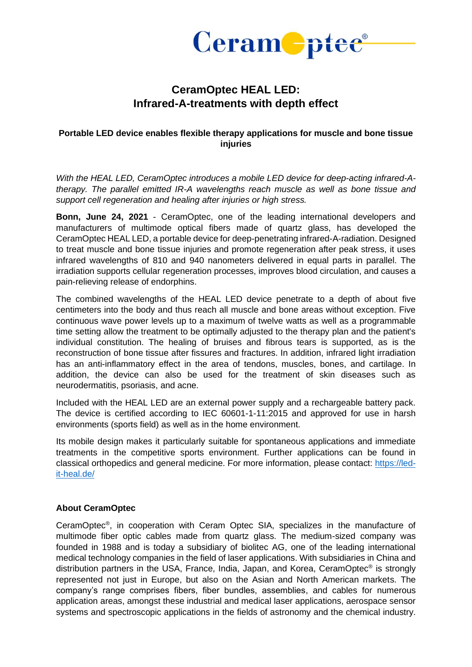

## **CeramOptec HEAL LED: Infrared-A-treatments with depth effect**

## **Portable LED device enables flexible therapy applications for muscle and bone tissue injuries**

*With the HEAL LED, CeramOptec introduces a mobile LED device for deep-acting infrared-Atherapy. The parallel emitted IR-A wavelengths reach muscle as well as bone tissue and support cell regeneration and healing after injuries or high stress.*

**Bonn, June 24, 2021** - CeramOptec, one of the leading international developers and manufacturers of multimode optical fibers made of quartz glass, has developed the CeramOptec HEAL LED, a portable device for deep-penetrating infrared-A-radiation. Designed to treat muscle and bone tissue injuries and promote regeneration after peak stress, it uses infrared wavelengths of 810 and 940 nanometers delivered in equal parts in parallel. The irradiation supports cellular regeneration processes, improves blood circulation, and causes a pain-relieving release of endorphins.

The combined wavelengths of the HEAL LED device penetrate to a depth of about five centimeters into the body and thus reach all muscle and bone areas without exception. Five continuous wave power levels up to a maximum of twelve watts as well as a programmable time setting allow the treatment to be optimally adjusted to the therapy plan and the patient's individual constitution. The healing of bruises and fibrous tears is supported, as is the reconstruction of bone tissue after fissures and fractures. In addition, infrared light irradiation has an anti-inflammatory effect in the area of tendons, muscles, bones, and cartilage. In addition, the device can also be used for the treatment of skin diseases such as neurodermatitis, psoriasis, and acne.

Included with the HEAL LED are an external power supply and a rechargeable battery pack. The device is certified according to IEC 60601-1-11:2015 and approved for use in harsh environments (sports field) as well as in the home environment.

Its mobile design makes it particularly suitable for spontaneous applications and immediate treatments in the competitive sports environment. Further applications can be found in classical orthopedics and general medicine. For more information, please contact: [https://led](https://led-it-heal.de/)[it-heal.de/](https://led-it-heal.de/)

## **About CeramOptec**

CeramOptec® , in cooperation with Ceram Optec SIA, specializes in the manufacture of multimode fiber optic cables made from quartz glass. The medium-sized company was founded in 1988 and is today a subsidiary of biolitec AG, one of the leading international medical technology companies in the field of laser applications. With subsidiaries in China and distribution partners in the USA, France, India, Japan, and Korea, CeramOptec® is strongly represented not just in Europe, but also on the Asian and North American markets. The company's range comprises fibers, fiber bundles, assemblies, and cables for numerous application areas, amongst these industrial and medical laser applications, aerospace sensor systems and spectroscopic applications in the fields of astronomy and the chemical industry.